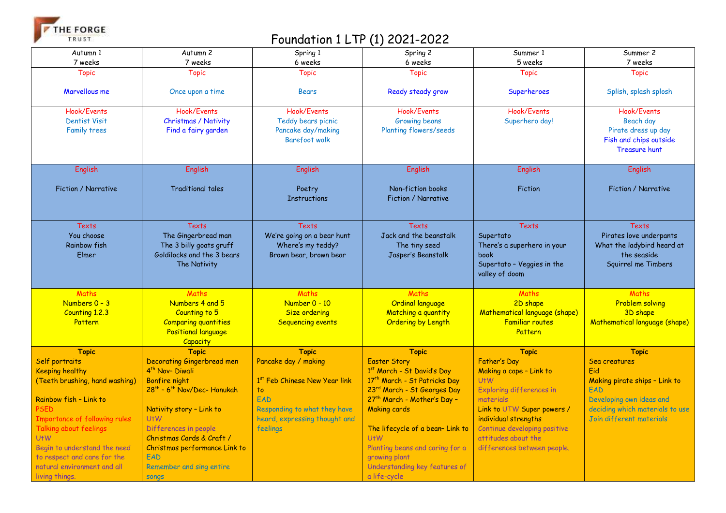THE FORGE TRUST

## Foundation 1 LTP (1) 2021-2022

| Autumn 1                       | Autumn 2                                            | Spring 1                                  | Spring 2                         | Summer 1                      | Summer 2                        |
|--------------------------------|-----------------------------------------------------|-------------------------------------------|----------------------------------|-------------------------------|---------------------------------|
| 7 weeks                        | 7 weeks                                             | 6 weeks                                   | 6 weeks                          | 5 weeks                       | 7 weeks                         |
| <b>Topic</b>                   | <b>Topic</b>                                        | <b>Topic</b>                              | <b>Topic</b>                     | <b>Topic</b>                  | <b>Topic</b>                    |
|                                |                                                     |                                           |                                  |                               |                                 |
| Marvellous me                  | Once upon a time                                    | <b>Bears</b>                              | Ready steady grow                | Superheroes                   | Splish, splash splosh           |
|                                |                                                     |                                           |                                  |                               |                                 |
| Hook/Events                    | Hook/Events                                         | Hook/Events                               | Hook/Events                      | Hook/Events                   | Hook/Events                     |
| <b>Dentist Visit</b>           | Christmas / Nativity                                | Teddy bears picnic                        | <b>Growing beans</b>             | Superhero day!                | Beach day                       |
| Family trees                   | Find a fairy garden                                 | Pancake day/making                        | <b>Planting flowers/seeds</b>    |                               | Pirate dress up day             |
|                                |                                                     | Barefoot walk                             |                                  |                               | Fish and chips outside          |
|                                |                                                     |                                           |                                  |                               | <b>Treasure hunt</b>            |
|                                |                                                     |                                           |                                  |                               |                                 |
| English                        | English                                             | English                                   | English                          | English                       | <b>English</b>                  |
|                                |                                                     |                                           |                                  |                               |                                 |
| Fiction / Narrative            | <b>Traditional tales</b>                            | Poetry                                    | Non-fiction books                | Fiction                       | Fiction / Narrative             |
|                                |                                                     | <b>Instructions</b>                       | Fiction / Narrative              |                               |                                 |
|                                |                                                     |                                           |                                  |                               |                                 |
|                                |                                                     |                                           |                                  |                               |                                 |
| Texts                          | Texts                                               | Texts                                     | Texts                            | <b>Texts</b>                  | Texts                           |
| You choose                     | The Gingerbread man                                 | We're going on a bear hunt                | Jack and the beanstalk           | Supertato                     | Pirates love underpants         |
| <b>Rainbow fish</b>            | The 3 billy goats gruff                             | Where's my teddy?                         | The tiny seed                    | There's a superhero in your   | What the ladybird heard at      |
| Elmer                          | Goldilocks and the 3 bears                          | Brown bear, brown bear                    | Jasper's Beanstalk               | book                          | the seaside                     |
|                                | The Nativity                                        |                                           |                                  | Supertato - Veggies in the    | Squirrel me Timbers             |
|                                |                                                     |                                           |                                  | valley of doom                |                                 |
|                                |                                                     |                                           |                                  |                               |                                 |
| Maths                          | Maths                                               | Maths                                     | Maths                            | Maths                         | Maths                           |
| Numbers $0 - 3$                | Numbers 4 and 5                                     | Number 0 - 10                             | <b>Ordinal language</b>          | 2D shape                      | <b>Problem solving</b>          |
| Counting 1.2.3                 | Counting to 5                                       | Size ordering                             | Matching a quantity              | Mathematical language (shape) | 3D shape                        |
| Pattern                        | <b>Comparing quantities</b>                         | <b>Sequencing events</b>                  | Ordering by Length               | <b>Familiar routes</b>        | Mathematical language (shape)   |
|                                | <b>Positional language</b>                          |                                           |                                  | Pattern                       |                                 |
|                                | Capacity                                            |                                           |                                  |                               |                                 |
| <b>Topic</b>                   | <b>Topic</b>                                        | <b>Topic</b>                              | <b>Topic</b>                     | <b>Topic</b>                  | <b>Topic</b>                    |
| Self portraits                 | <b>Decorating Gingerbread men</b>                   | Pancake day / making                      | <b>Easter Story</b>              | Father's Day                  | Sea creatures                   |
| <b>Keeping healthy</b>         | 4 <sup>th</sup> Nov-Diwali                          |                                           | 1st March - St David's Day       | Making a cape - Link to       | Fid                             |
| (Teeth brushing, hand washing) | <b>Bonfire night</b>                                | 1 <sup>st</sup> Feb Chinese New Year link | 17th March - St Patricks Day     | $U+W$                         | Making pirate ships - Link to   |
|                                | 28 <sup>th</sup> - 6 <sup>th</sup> Nov/Dec- Hanukah | to                                        | 23rd March - St Georges Day      | Exploring differences in      | EAD                             |
| Rainbow fish - Link to         |                                                     | <b>FAD</b>                                | 27th March - Mother's Day -      | materials                     | Developing own ideas and        |
| <b>PSED</b>                    | Nativity story - Link to                            | Responding to what they have              | <b>Making cards</b>              | Link to UTW Super powers /    | deciding which materials to use |
| Importance of following rules  | U <sub>t</sub> W                                    | heard, expressing thought and             |                                  | individual strengths          | Join different materials        |
| Talking about feelings         | Differences in people                               | feelings                                  | The lifecycle of a bean- Link to | Continue developing positive  |                                 |
| U <sub>t</sub> W               | Christmas Cards & Craft /                           |                                           | U <sub>t</sub> W                 | attitudes about the           |                                 |
| Begin to understand the need   | Christmas performance Link to                       |                                           | Planting beans and caring for a  | differences between people.   |                                 |
| to respect and care for the    | EAD                                                 |                                           | growing plant                    |                               |                                 |
| natural environment and all    | Remember and sing entire                            |                                           | Understanding key features of    |                               |                                 |
| living things.                 | <b>SONQS</b>                                        |                                           | a life-cycle                     |                               |                                 |